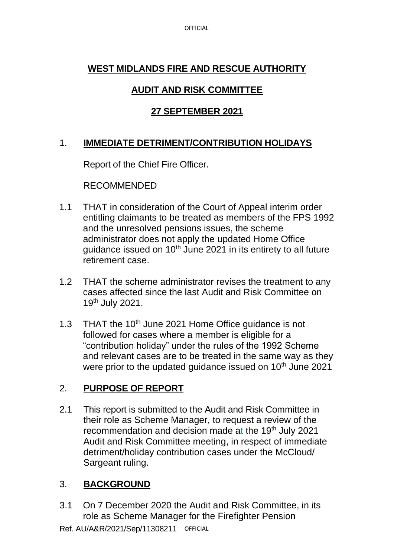# **WEST MIDLANDS FIRE AND RESCUE AUTHORITY**

## **AUDIT AND RISK COMMITTEE**

## **27 SEPTEMBER 2021**

### 1. **IMMEDIATE DETRIMENT/CONTRIBUTION HOLIDAYS**

Report of the Chief Fire Officer.

RECOMMENDED

- 1.1 THAT in consideration of the Court of Appeal interim order entitling claimants to be treated as members of the FPS 1992 and the unresolved pensions issues, the scheme administrator does not apply the updated Home Office quidance issued on  $10<sup>th</sup>$  June 2021 in its entirety to all future retirement case.
- 1.2 THAT the scheme administrator revises the treatment to any cases affected since the last Audit and Risk Committee on 19th July 2021.
- 1.3 THAT the 10<sup>th</sup> June 2021 Home Office quidance is not followed for cases where a member is eligible for a "contribution holiday" under the rules of the 1992 Scheme and relevant cases are to be treated in the same way as they were prior to the updated quidance issued on 10<sup>th</sup> June 2021

# 2. **PURPOSE OF REPORT**

2.1 This report is submitted to the Audit and Risk Committee in their role as Scheme Manager, to request a review of the recommendation and decision made at the 19th July 2021 Audit and Risk Committee meeting, in respect of immediate detriment/holiday contribution cases under the McCloud/ Sargeant ruling.

# 3. **BACKGROUND**

3.1 On 7 December 2020 the Audit and Risk Committee, in its role as Scheme Manager for the Firefighter Pension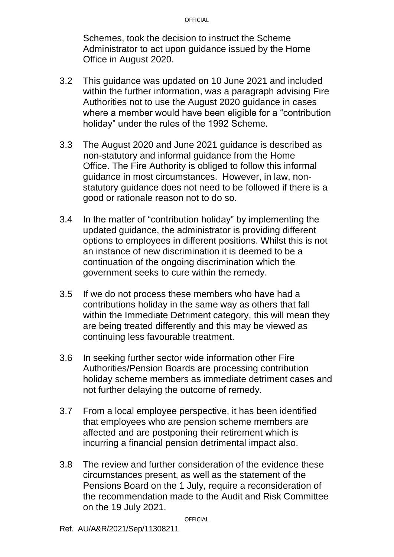#### OFFICIAL

Schemes, took the decision to instruct the Scheme Administrator to act upon guidance issued by the Home Office in August 2020.

- 3.2 This guidance was updated on 10 June 2021 and included within the further information, was a paragraph advising Fire Authorities not to use the August 2020 guidance in cases where a member would have been eligible for a "contribution holiday" under the rules of the 1992 Scheme.
- 3.3 The August 2020 and June 2021 guidance is described as non-statutory and informal guidance from the Home Office. The Fire Authority is obliged to follow this informal guidance in most circumstances. However, in law, nonstatutory guidance does not need to be followed if there is a good or rationale reason not to do so.
- 3.4 In the matter of "contribution holiday" by implementing the updated guidance, the administrator is providing different options to employees in different positions. Whilst this is not an instance of new discrimination it is deemed to be a continuation of the ongoing discrimination which the government seeks to cure within the remedy.
- 3.5 If we do not process these members who have had a contributions holiday in the same way as others that fall within the Immediate Detriment category, this will mean they are being treated differently and this may be viewed as continuing less favourable treatment.
- 3.6 In seeking further sector wide information other Fire Authorities/Pension Boards are processing contribution holiday scheme members as immediate detriment cases and not further delaying the outcome of remedy.
- 3.7 From a local employee perspective, it has been identified that employees who are pension scheme members are affected and are postponing their retirement which is incurring a financial pension detrimental impact also.
- 3.8 The review and further consideration of the evidence these circumstances present, as well as the statement of the Pensions Board on the 1 July, require a reconsideration of the recommendation made to the Audit and Risk Committee on the 19 July 2021.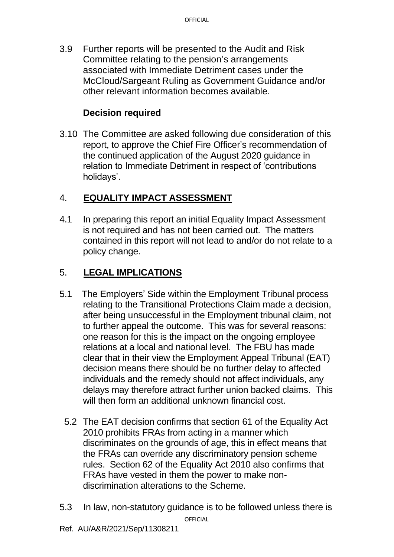3.9 Further reports will be presented to the Audit and Risk Committee relating to the pension's arrangements associated with Immediate Detriment cases under the McCloud/Sargeant Ruling as Government Guidance and/or other relevant information becomes available.

## **Decision required**

3.10 The Committee are asked following due consideration of this report, to approve the Chief Fire Officer's recommendation of the continued application of the August 2020 guidance in relation to Immediate Detriment in respect of 'contributions holidays'.

# 4. **EQUALITY IMPACT ASSESSMENT**

4.1 In preparing this report an initial Equality Impact Assessment is not required and has not been carried out. The matters contained in this report will not lead to and/or do not relate to a policy change.

## 5. **LEGAL IMPLICATIONS**

- 5.1 The Employers' Side within the Employment Tribunal process relating to the Transitional Protections Claim made a decision, after being unsuccessful in the Employment tribunal claim, not to further appeal the outcome. This was for several reasons: one reason for this is the impact on the ongoing employee relations at a local and national level. The FBU has made clear that in their view the Employment Appeal Tribunal (EAT) decision means there should be no further delay to affected individuals and the remedy should not affect individuals, any delays may therefore attract further union backed claims. This will then form an additional unknown financial cost.
	- 5.2 The EAT decision confirms that section 61 of the Equality Act 2010 prohibits FRAs from acting in a manner which discriminates on the grounds of age, this in effect means that the FRAs can override any discriminatory pension scheme rules. Section 62 of the Equality Act 2010 also confirms that FRAs have vested in them the power to make nondiscrimination alterations to the Scheme.
- 5.3 In law, non-statutory guidance is to be followed unless there is